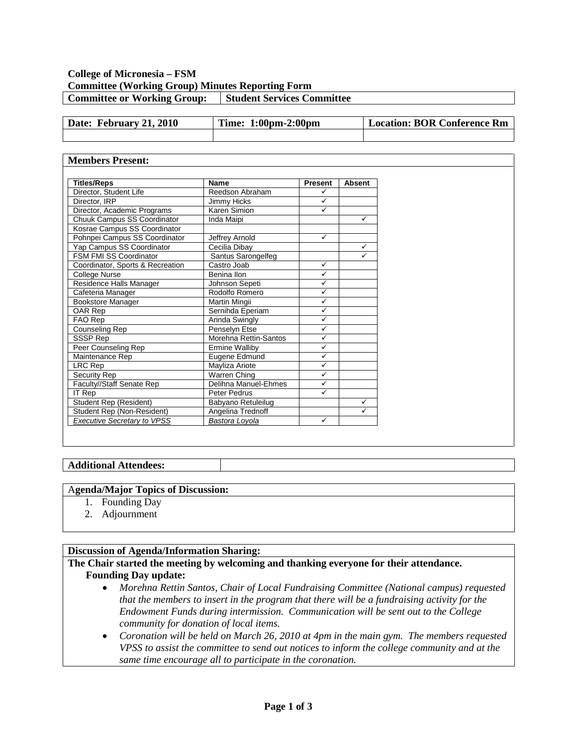### **College of Micronesia – FSM Committee (Working Group) Minutes Reporting Form Committee or Working Group:** Student Services Committee

| Date: February 21, 2010 | Time: 1:00pm-2:00pm | Location: BOR Conference Rm |
|-------------------------|---------------------|-----------------------------|
|                         |                     |                             |

#### **Members Present:**

| <b>Titles/Reps</b>                 | <b>Name</b>           | <b>Present</b> | <b>Absent</b> |
|------------------------------------|-----------------------|----------------|---------------|
| Director, Student Life             | Reedson Abraham       | ✓              |               |
| Director, IRP                      | Jimmy Hicks           | ✓              |               |
| Director, Academic Programs        | Karen Simion          | ✓              |               |
| Chuuk Campus SS Coordinator        | Inda Maipi            |                | $\checkmark$  |
| Kosrae Campus SS Coordinator       |                       |                |               |
| Pohnpei Campus SS Coordinator      | Jeffrey Arnold        | ✓              |               |
| Yap Campus SS Coordinator          | Cecilia Dibay         |                | $\checkmark$  |
| FSM FMI SS Coordinator             | Santus Sarongelfeg    |                | ✓             |
| Coordinator, Sports & Recreation   | Castro Joab           | ✓              |               |
| College Nurse                      | Benina Ilon           | ✓              |               |
| Residence Halls Manager            | Johnson Sepeti        | ✓              |               |
| Cafeteria Manager                  | Rodolfo Romero        | ✓              |               |
| <b>Bookstore Manager</b>           | Martin Mingii         | ✓              |               |
| OAR Rep                            | Sernihda Eperiam      | ✓              |               |
| FAO Rep                            | Arinda Swingly        | $\checkmark$   |               |
| Counseling Rep                     | Penselyn Etse         | ✓              |               |
| SSSP Rep                           | Morehna Rettin-Santos | ✓              |               |
| Peer Counseling Rep                | <b>Ermine Walliby</b> | ✓              |               |
| Maintenance Rep                    | Eugene Edmund         | ✓              |               |
| LRC Rep                            | Mayliza Ariote        | ✓              |               |
| <b>Security Rep</b>                | Warren Ching          | ✓              |               |
| Faculty//Staff Senate Rep          | Delihna Manuel-Ehmes  | $\checkmark$   |               |
| IT Rep                             | Peter Pedrus          | ✓              |               |
| Student Rep (Resident)             | Babyano Retuleilug    |                | ✓             |
| Student Rep (Non-Resident)         | Angelina Trednoff     |                | ✓             |
| <b>Executive Secretary to VPSS</b> | Bastora Loyola        | ✓              |               |

#### **Additional Attendees:**

#### A**genda/Major Topics of Discussion:**

- 1. Founding Day
- 2. Adjournment

### **Discussion of Agenda/Information Sharing:**

#### **The Chair started the meeting by welcoming and thanking everyone for their attendance. Founding Day update:**

- *Morehna Rettin Santos, Chair of Local Fundraising Committee (National campus) requested that the members to insert in the program that there will be a fundraising activity for the Endowment Funds during intermission. Communication will be sent out to the College community for donation of local items.*
- *Coronation will be held on March 26, 2010 at 4pm in the main gym. The members requested VPSS to assist the committee to send out notices to inform the college community and at the same time encourage all to participate in the coronation.*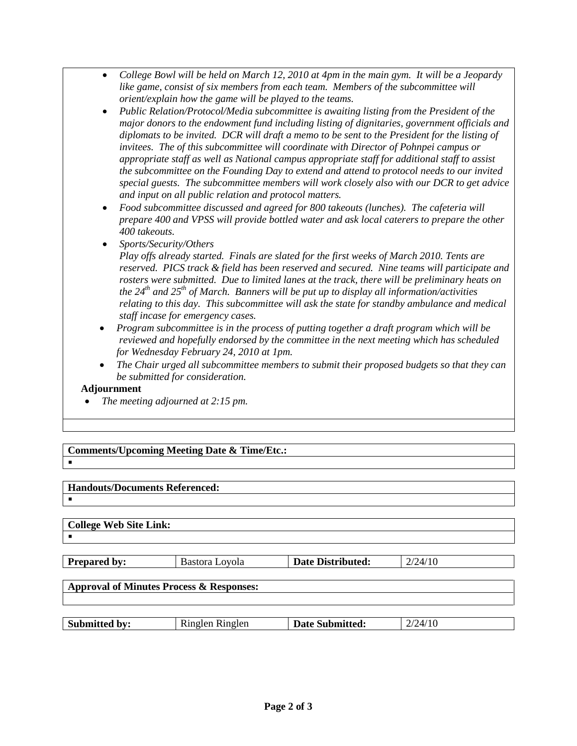- *College Bowl will be held on March 12, 2010 at 4pm in the main gym. It will be a Jeopardy like game, consist of six members from each team. Members of the subcommittee will orient/explain how the game will be played to the teams.*
- *Public Relation/Protocol/Media subcommittee is awaiting listing from the President of the major donors to the endowment fund including listing of dignitaries, government officials and diplomats to be invited. DCR will draft a memo to be sent to the President for the listing of invitees. The of this subcommittee will coordinate with Director of Pohnpei campus or appropriate staff as well as National campus appropriate staff for additional staff to assist the subcommittee on the Founding Day to extend and attend to protocol needs to our invited special guests. The subcommittee members will work closely also with our DCR to get advice and input on all public relation and protocol matters.*
- *Food subcommittee discussed and agreed for 800 takeouts (lunches). The cafeteria will prepare 400 and VPSS will provide bottled water and ask local caterers to prepare the other 400 takeouts.*
- *Sports/Security/Others*

*Play offs already started. Finals are slated for the first weeks of March 2010. Tents are reserved. PICS track & field has been reserved and secured. Nine teams will participate and rosters were submitted. Due to limited lanes at the track, there will be preliminary heats on the 24th and 25th of March. Banners will be put up to display all information/activities relating to this day. This subcommittee will ask the state for standby ambulance and medical staff incase for emergency cases.*

- *Program subcommittee is in the process of putting together a draft program which will be reviewed and hopefully endorsed by the committee in the next meeting which has scheduled for Wednesday February 24, 2010 at 1pm.*
- *The Chair urged all subcommittee members to submit their proposed budgets so that they can be submitted for consideration.*

### **Adjournment**

• *The meeting adjourned at 2:15 pm.*

# **Comments/Upcoming Meeting Date & Time/Etc.:**

## $\blacksquare$

 $\blacksquare$ 

# **Handouts/Documents Referenced:**

# **College Web Site Link:**  $\blacksquare$ **Prepared by:** Bastora Loyola **Date Distributed:** 2/24/10 **Approval of Minutes Process & Responses:**

| <b>Submitted by:</b> | Ringlen Ringlen | <b>Date Submitted:</b> | ЭΛ. |
|----------------------|-----------------|------------------------|-----|
|                      |                 |                        |     |